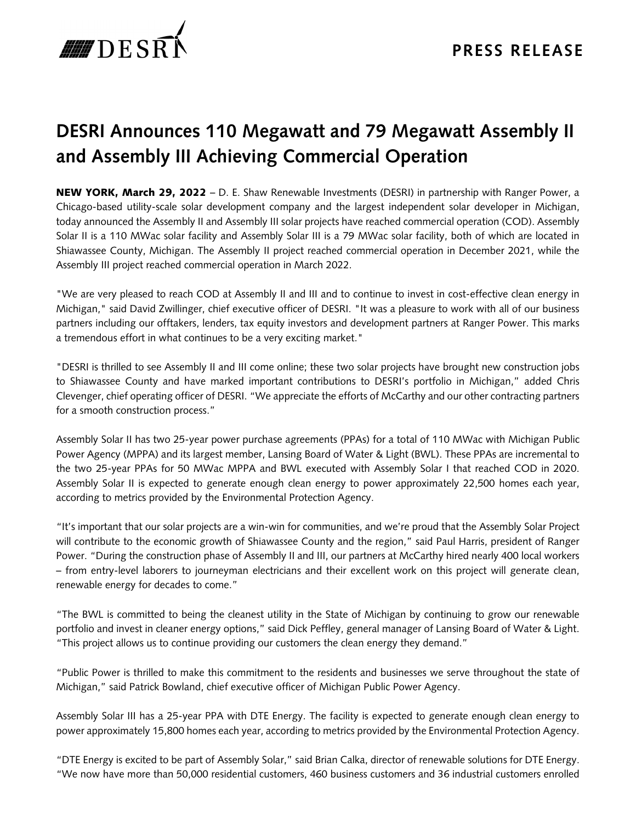

## **DESRI Announces 110 Megawatt and 79 Megawatt Assembly II and Assembly III Achieving Commercial Operation**

NEW YORK, March 29, 2022 – D. E. Shaw Renewable Investments (DESRI) in partnership with Ranger Power, a Chicago-based utility-scale solar development company and the largest independent solar developer in Michigan, today announced the Assembly II and Assembly III solar projects have reached commercial operation (COD). Assembly Solar II is a 110 MWac solar facility and Assembly Solar III is a 79 MWac solar facility, both of which are located in Shiawassee County, Michigan. The Assembly II project reached commercial operation in December 2021, while the Assembly III project reached commercial operation in March 2022.

"We are very pleased to reach COD at Assembly II and III and to continue to invest in cost-effective clean energy in Michigan," said David Zwillinger, chief executive officer of DESRI. "It was a pleasure to work with all of our business partners including our offtakers, lenders, tax equity investors and development partners at Ranger Power. This marks a tremendous effort in what continues to be a very exciting market."

"DESRI is thrilled to see Assembly II and III come online; these two solar projects have brought new construction jobs to Shiawassee County and have marked important contributions to DESRI's portfolio in Michigan," added Chris Clevenger, chief operating officer of DESRI. "We appreciate the efforts of McCarthy and our other contracting partners for a smooth construction process."

Assembly Solar II has two 25-year power purchase agreements (PPAs) for a total of 110 MWac with Michigan Public Power Agency (MPPA) and its largest member, Lansing Board of Water & Light (BWL). These PPAs are incremental to the two 25-year PPAs for 50 MWac MPPA and BWL executed with Assembly Solar I that reached COD in 2020. Assembly Solar II is expected to generate enough clean energy to power approximately 22,500 homes each year, according to metrics provided by the Environmental Protection Agency.

"It's important that our solar projects are a win-win for communities, and we're proud that the Assembly Solar Project will contribute to the economic growth of Shiawassee County and the region," said Paul Harris, president of Ranger Power. "During the construction phase of Assembly II and III, our partners at McCarthy hired nearly 400 local workers – from entry-level laborers to journeyman electricians and their excellent work on this project will generate clean, renewable energy for decades to come."

"The BWL is committed to being the cleanest utility in the State of Michigan by continuing to grow our renewable portfolio and invest in cleaner energy options," said Dick Peffley, general manager of Lansing Board of Water & Light. "This project allows us to continue providing our customers the clean energy they demand."

"Public Power is thrilled to make this commitment to the residents and businesses we serve throughout the state of Michigan," said Patrick Bowland, chief executive officer of Michigan Public Power Agency.

Assembly Solar III has a 25-year PPA with DTE Energy. The facility is expected to generate enough clean energy to power approximately 15,800 homes each year, according to metrics provided by the Environmental Protection Agency.

"DTE Energy is excited to be part of Assembly Solar," said Brian Calka, director of renewable solutions for DTE Energy. "We now have more than 50,000 residential customers, 460 business customers and 36 industrial customers enrolled